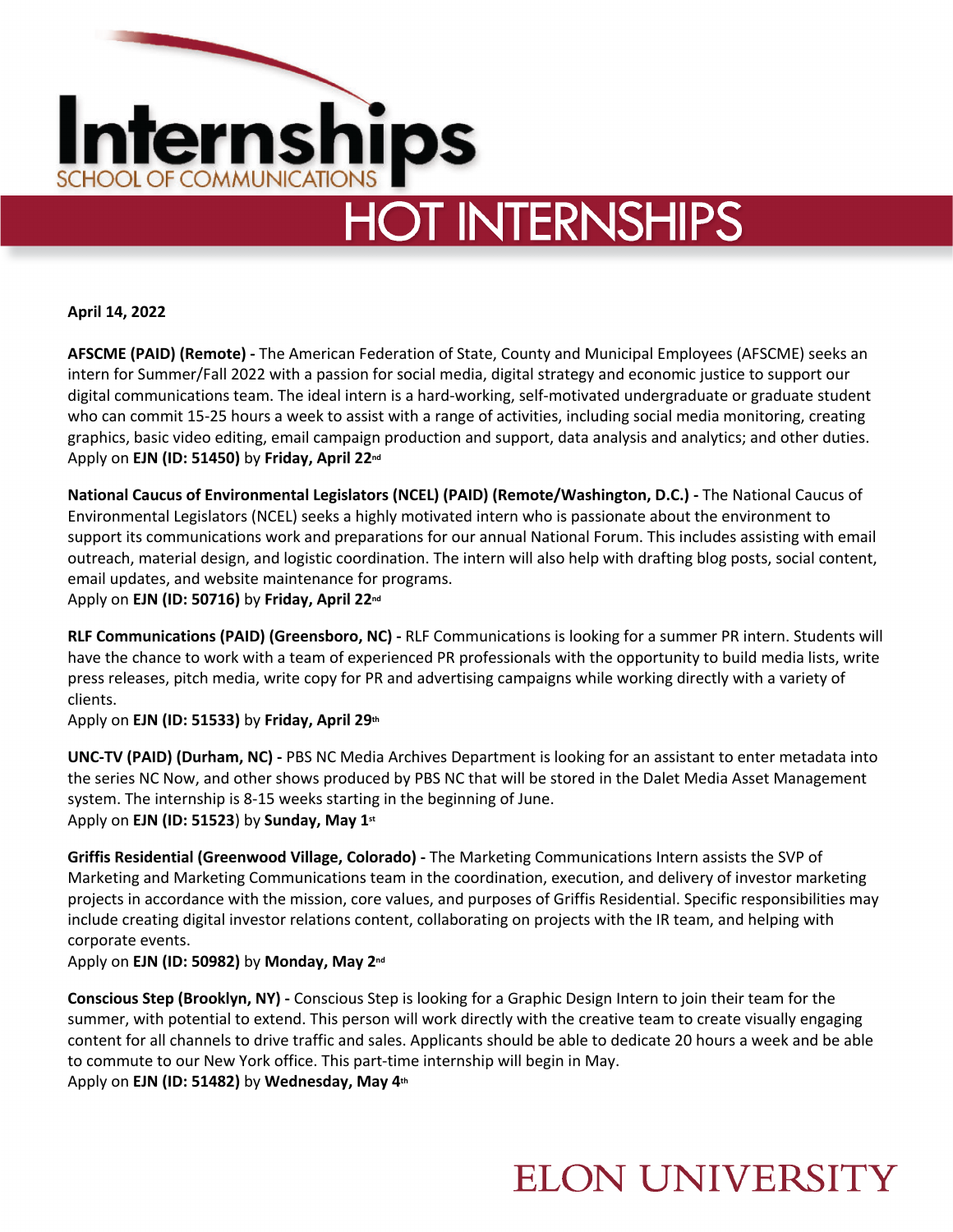

# **HOT INTERNSHIPS**

**April 14, 2022**

**AFSCME (PAID) (Remote) -** The American Federation of State, County and Municipal Employees (AFSCME) seeks an intern for Summer/Fall 2022 with a passion for social media, digital strategy and economic justice to support our digital communications team. The ideal intern is a hard-working, self-motivated undergraduate or graduate student who can commit 15-25 hours a week to assist with a range of activities, including social media monitoring, creating graphics, basic video editing, email campaign production and support, data analysis and analytics; and other duties. Apply on **EJN (ID: 51450)** by **Friday, April 22nd**

**National Caucus of Environmental Legislators (NCEL) (PAID) (Remote/Washington, D.C.) -** The National Caucus of Environmental Legislators (NCEL) seeks a highly motivated intern who is passionate about the environment to support its communications work and preparations for our annual National Forum. This includes assisting with email outreach, material design, and logistic coordination. The intern will also help with drafting blog posts, social content, email updates, and website maintenance for programs.

Apply on **EJN (ID: 50716)** by **Friday, April 22nd**

**RLF Communications (PAID) (Greensboro, NC) -** RLF Communications is looking for a summer PR intern. Students will have the chance to work with a team of experienced PR professionals with the opportunity to build media lists, write press releases, pitch media, write copy for PR and advertising campaigns while working directly with a variety of clients.

Apply on **EJN (ID: 51533)** by **Friday, April 29th**

**UNC-TV (PAID) (Durham, NC) -** PBS NC Media Archives Department is looking for an assistant to enter metadata into the series NC Now, and other shows produced by PBS NC that will be stored in the Dalet Media Asset Management system. The internship is 8-15 weeks starting in the beginning of June. Apply on **EJN (ID: 51523**) by **Sunday, May 1st**

**Griffis Residential (Greenwood Village, Colorado) -** The Marketing Communications Intern assists the SVP of Marketing and Marketing Communications team in the coordination, execution, and delivery of investor marketing projects in accordance with the mission, core values, and purposes of Griffis Residential. Specific responsibilities may include creating digital investor relations content, collaborating on projects with the IR team, and helping with corporate events.

Apply on **EJN (ID: 50982)** by **Monday, May 2nd**

**Conscious Step (Brooklyn, NY) -** Conscious Step is looking for a Graphic Design Intern to join their team for the summer, with potential to extend. This person will work directly with the creative team to create visually engaging content for all channels to drive traffic and sales. Applicants should be able to dedicate 20 hours a week and be able to commute to our New York office. This part-time internship will begin in May. Apply on **EJN (ID: 51482)** by **Wednesday, May 4th**

### **ELON UNIVERSITY**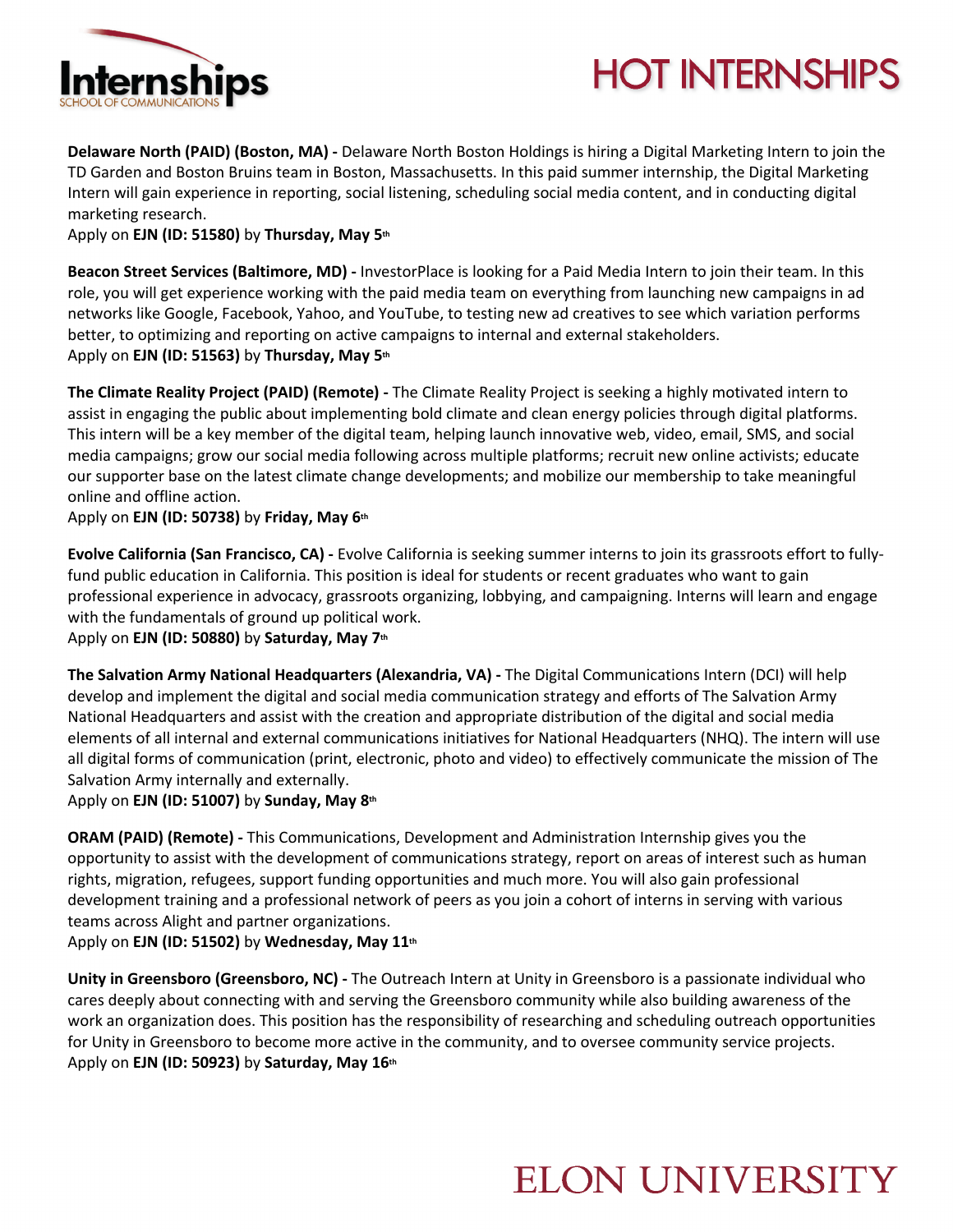

# **HOT INTERNSHIPS**

**Delaware North (PAID) (Boston, MA) -** Delaware North Boston Holdings is hiring a Digital Marketing Intern to join the TD Garden and Boston Bruins team in Boston, Massachusetts. In this paid summer internship, the Digital Marketing Intern will gain experience in reporting, social listening, scheduling social media content, and in conducting digital marketing research.

Apply on **EJN (ID: 51580)** by **Thursday, May 5th**

**Beacon Street Services (Baltimore, MD) -** InvestorPlace is looking for a Paid Media Intern to join their team. In this role, you will get experience working with the paid media team on everything from launching new campaigns in ad networks like Google, Facebook, Yahoo, and YouTube, to testing new ad creatives to see which variation performs better, to optimizing and reporting on active campaigns to internal and external stakeholders. Apply on **EJN (ID: 51563)** by **Thursday, May 5th**

**The Climate Reality Project (PAID) (Remote) -** The Climate Reality Project is seeking a highly motivated intern to assist in engaging the public about implementing bold climate and clean energy policies through digital platforms. This intern will be a key member of the digital team, helping launch innovative web, video, email, SMS, and social media campaigns; grow our social media following across multiple platforms; recruit new online activists; educate our supporter base on the latest climate change developments; and mobilize our membership to take meaningful online and offline action.

Apply on **EJN (ID: 50738)** by **Friday, May 6th**

**Evolve California (San Francisco, CA) -** Evolve California is seeking summer interns to join its grassroots effort to fullyfund public education in California. This position is ideal for students or recent graduates who want to gain professional experience in advocacy, grassroots organizing, lobbying, and campaigning. Interns will learn and engage with the fundamentals of ground up political work.

Apply on **EJN (ID: 50880)** by **Saturday, May 7th**

**The Salvation Army National Headquarters (Alexandria, VA) -** The Digital Communications Intern (DCI) will help develop and implement the digital and social media communication strategy and efforts of The Salvation Army National Headquarters and assist with the creation and appropriate distribution of the digital and social media elements of all internal and external communications initiatives for National Headquarters (NHQ). The intern will use all digital forms of communication (print, electronic, photo and video) to effectively communicate the mission of The Salvation Army internally and externally.

Apply on **EJN (ID: 51007)** by **Sunday, May 8th**

**ORAM (PAID) (Remote) -** This Communications, Development and Administration Internship gives you the opportunity to assist with the development of communications strategy, report on areas of interest such as human rights, migration, refugees, support funding opportunities and much more. You will also gain professional development training and a professional network of peers as you join a cohort of interns in serving with various teams across Alight and partner organizations.

Apply on **EJN (ID: 51502)** by **Wednesday, May 11th**

**Unity in Greensboro (Greensboro, NC) -** The Outreach Intern at Unity in Greensboro is a passionate individual who cares deeply about connecting with and serving the Greensboro community while also building awareness of the work an organization does. This position has the responsibility of researching and scheduling outreach opportunities for Unity in Greensboro to become more active in the community, and to oversee community service projects. Apply on **EJN (ID: 50923)** by **Saturday, May 16th**

### **ELON UNIVERSITY**